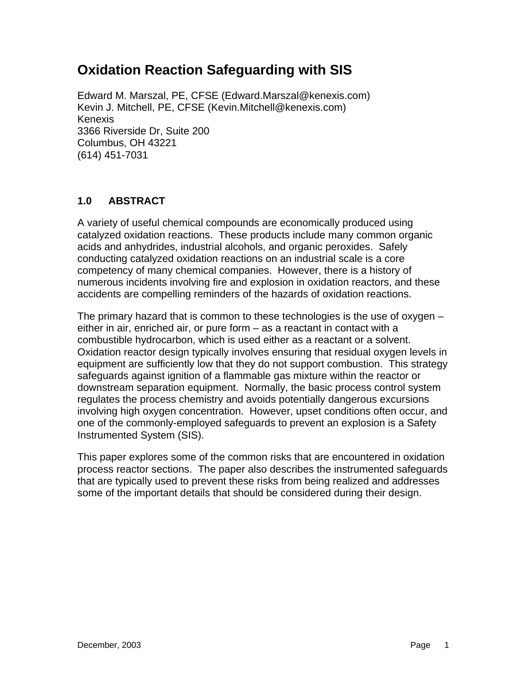# **Oxidation Reaction Safeguarding with SIS**

Edward M. Marszal, PE, CFSE (Edward.Marszal@kenexis.com) Kevin J. Mitchell, PE, CFSE (Kevin.Mitchell@kenexis.com) Kenexis 3366 Riverside Dr, Suite 200 Columbus, OH 43221 (614) 451-7031

# **1.0 ABSTRACT**

A variety of useful chemical compounds are economically produced using catalyzed oxidation reactions. These products include many common organic acids and anhydrides, industrial alcohols, and organic peroxides. Safely conducting catalyzed oxidation reactions on an industrial scale is a core competency of many chemical companies. However, there is a history of numerous incidents involving fire and explosion in oxidation reactors, and these accidents are compelling reminders of the hazards of oxidation reactions.

The primary hazard that is common to these technologies is the use of oxygen – either in air, enriched air, or pure form – as a reactant in contact with a combustible hydrocarbon, which is used either as a reactant or a solvent. Oxidation reactor design typically involves ensuring that residual oxygen levels in equipment are sufficiently low that they do not support combustion. This strategy safeguards against ignition of a flammable gas mixture within the reactor or downstream separation equipment. Normally, the basic process control system regulates the process chemistry and avoids potentially dangerous excursions involving high oxygen concentration. However, upset conditions often occur, and one of the commonly-employed safeguards to prevent an explosion is a Safety Instrumented System (SIS).

This paper explores some of the common risks that are encountered in oxidation process reactor sections. The paper also describes the instrumented safeguards that are typically used to prevent these risks from being realized and addresses some of the important details that should be considered during their design.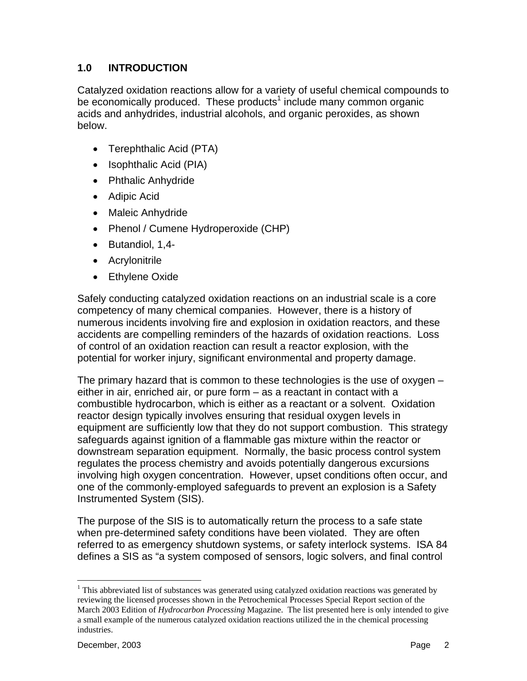# **1.0 INTRODUCTION**

Catalyzed oxidation reactions allow for a variety of useful chemical compounds to be economically produced. These products<sup>1</sup> include many common organic acids and anhydrides, industrial alcohols, and organic peroxides, as shown below.

- Terephthalic Acid (PTA)
- Isophthalic Acid (PIA)
- Phthalic Anhydride
- Adipic Acid
- Maleic Anhydride
- Phenol / Cumene Hydroperoxide (CHP)
- Butandiol, 1,4-
- Acrylonitrile
- Ethylene Oxide

Safely conducting catalyzed oxidation reactions on an industrial scale is a core competency of many chemical companies. However, there is a history of numerous incidents involving fire and explosion in oxidation reactors, and these accidents are compelling reminders of the hazards of oxidation reactions. Loss of control of an oxidation reaction can result a reactor explosion, with the potential for worker injury, significant environmental and property damage.

The primary hazard that is common to these technologies is the use of oxygen – either in air, enriched air, or pure form – as a reactant in contact with a combustible hydrocarbon, which is either as a reactant or a solvent. Oxidation reactor design typically involves ensuring that residual oxygen levels in equipment are sufficiently low that they do not support combustion. This strategy safeguards against ignition of a flammable gas mixture within the reactor or downstream separation equipment. Normally, the basic process control system regulates the process chemistry and avoids potentially dangerous excursions involving high oxygen concentration. However, upset conditions often occur, and one of the commonly-employed safeguards to prevent an explosion is a Safety Instrumented System (SIS).

The purpose of the SIS is to automatically return the process to a safe state when pre-determined safety conditions have been violated. They are often referred to as emergency shutdown systems, or safety interlock systems. ISA 84 defines a SIS as "a system composed of sensors, logic solvers, and final control

 $\overline{a}$ 

 $1$  This abbreviated list of substances was generated using catalyzed oxidation reactions was generated by reviewing the licensed processes shown in the Petrochemical Processes Special Report section of the March 2003 Edition of *Hydrocarbon Processing* Magazine. The list presented here is only intended to give a small example of the numerous catalyzed oxidation reactions utilized the in the chemical processing industries.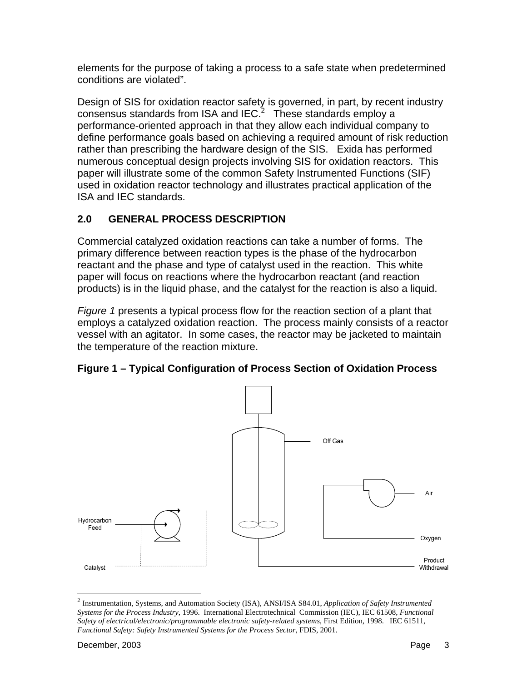elements for the purpose of taking a process to a safe state when predetermined conditions are violated".

Design of SIS for oxidation reactor safety is governed, in part, by recent industry consensus standards from ISA and IEC. $^2$  These standards employ a performance-oriented approach in that they allow each individual company to define performance goals based on achieving a required amount of risk reduction rather than prescribing the hardware design of the SIS. Exida has performed numerous conceptual design projects involving SIS for oxidation reactors. This paper will illustrate some of the common Safety Instrumented Functions (SIF) used in oxidation reactor technology and illustrates practical application of the ISA and IEC standards.

# **2.0 GENERAL PROCESS DESCRIPTION**

Commercial catalyzed oxidation reactions can take a number of forms. The primary difference between reaction types is the phase of the hydrocarbon reactant and the phase and type of catalyst used in the reaction. This white paper will focus on reactions where the hydrocarbon reactant (and reaction products) is in the liquid phase, and the catalyst for the reaction is also a liquid.

*Figure 1* presents a typical process flow for the reaction section of a plant that employs a catalyzed oxidation reaction. The process mainly consists of a reactor vessel with an agitator. In some cases, the reactor may be jacketed to maintain the temperature of the reaction mixture.

**Figure 1 – Typical Configuration of Process Section of Oxidation Process** 



<sup>2</sup> Instrumentation, Systems, and Automation Society (ISA), ANSI/ISA S84.01, *Application of Safety Instrumented Systems for the Process Industry*, 1996. International Electrotechnical Commission (IEC), IEC 61508, *Functional Safety of electrical/electronic/programmable electronic safety-related systems*, First Edition, 1998. IEC 61511, *Functional Safety: Safety Instrumented Systems for the Process Sector*, FDIS, 2001.

1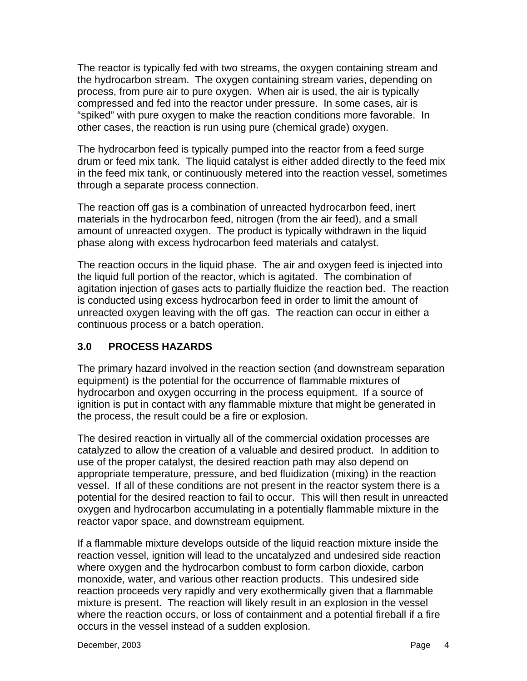The reactor is typically fed with two streams, the oxygen containing stream and the hydrocarbon stream. The oxygen containing stream varies, depending on process, from pure air to pure oxygen. When air is used, the air is typically compressed and fed into the reactor under pressure. In some cases, air is "spiked" with pure oxygen to make the reaction conditions more favorable. In other cases, the reaction is run using pure (chemical grade) oxygen.

The hydrocarbon feed is typically pumped into the reactor from a feed surge drum or feed mix tank. The liquid catalyst is either added directly to the feed mix in the feed mix tank, or continuously metered into the reaction vessel, sometimes through a separate process connection.

The reaction off gas is a combination of unreacted hydrocarbon feed, inert materials in the hydrocarbon feed, nitrogen (from the air feed), and a small amount of unreacted oxygen. The product is typically withdrawn in the liquid phase along with excess hydrocarbon feed materials and catalyst.

The reaction occurs in the liquid phase. The air and oxygen feed is injected into the liquid full portion of the reactor, which is agitated. The combination of agitation injection of gases acts to partially fluidize the reaction bed. The reaction is conducted using excess hydrocarbon feed in order to limit the amount of unreacted oxygen leaving with the off gas. The reaction can occur in either a continuous process or a batch operation.

# **3.0 PROCESS HAZARDS**

The primary hazard involved in the reaction section (and downstream separation equipment) is the potential for the occurrence of flammable mixtures of hydrocarbon and oxygen occurring in the process equipment. If a source of ignition is put in contact with any flammable mixture that might be generated in the process, the result could be a fire or explosion.

The desired reaction in virtually all of the commercial oxidation processes are catalyzed to allow the creation of a valuable and desired product. In addition to use of the proper catalyst, the desired reaction path may also depend on appropriate temperature, pressure, and bed fluidization (mixing) in the reaction vessel. If all of these conditions are not present in the reactor system there is a potential for the desired reaction to fail to occur. This will then result in unreacted oxygen and hydrocarbon accumulating in a potentially flammable mixture in the reactor vapor space, and downstream equipment.

If a flammable mixture develops outside of the liquid reaction mixture inside the reaction vessel, ignition will lead to the uncatalyzed and undesired side reaction where oxygen and the hydrocarbon combust to form carbon dioxide, carbon monoxide, water, and various other reaction products. This undesired side reaction proceeds very rapidly and very exothermically given that a flammable mixture is present. The reaction will likely result in an explosion in the vessel where the reaction occurs, or loss of containment and a potential fireball if a fire occurs in the vessel instead of a sudden explosion.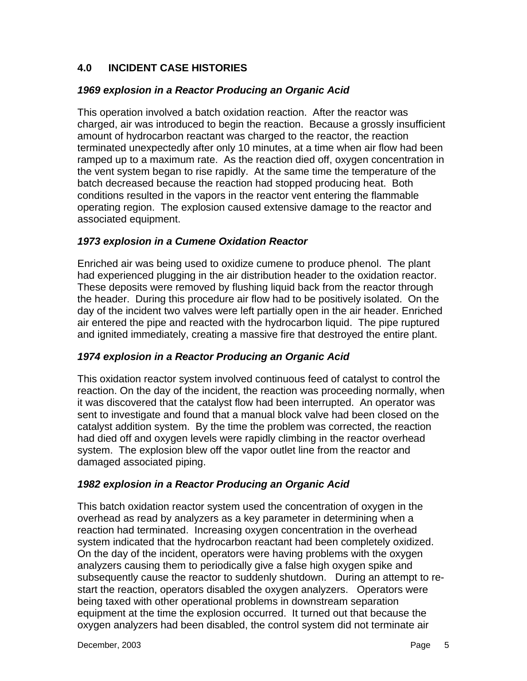# **4.0 INCIDENT CASE HISTORIES**

## *1969 explosion in a Reactor Producing an Organic Acid*

This operation involved a batch oxidation reaction. After the reactor was charged, air was introduced to begin the reaction. Because a grossly insufficient amount of hydrocarbon reactant was charged to the reactor, the reaction terminated unexpectedly after only 10 minutes, at a time when air flow had been ramped up to a maximum rate. As the reaction died off, oxygen concentration in the vent system began to rise rapidly. At the same time the temperature of the batch decreased because the reaction had stopped producing heat. Both conditions resulted in the vapors in the reactor vent entering the flammable operating region. The explosion caused extensive damage to the reactor and associated equipment.

#### *1973 explosion in a Cumene Oxidation Reactor*

Enriched air was being used to oxidize cumene to produce phenol. The plant had experienced plugging in the air distribution header to the oxidation reactor. These deposits were removed by flushing liquid back from the reactor through the header. During this procedure air flow had to be positively isolated. On the day of the incident two valves were left partially open in the air header. Enriched air entered the pipe and reacted with the hydrocarbon liquid. The pipe ruptured and ignited immediately, creating a massive fire that destroyed the entire plant.

# *1974 explosion in a Reactor Producing an Organic Acid*

This oxidation reactor system involved continuous feed of catalyst to control the reaction. On the day of the incident, the reaction was proceeding normally, when it was discovered that the catalyst flow had been interrupted. An operator was sent to investigate and found that a manual block valve had been closed on the catalyst addition system. By the time the problem was corrected, the reaction had died off and oxygen levels were rapidly climbing in the reactor overhead system. The explosion blew off the vapor outlet line from the reactor and damaged associated piping.

#### *1982 explosion in a Reactor Producing an Organic Acid*

This batch oxidation reactor system used the concentration of oxygen in the overhead as read by analyzers as a key parameter in determining when a reaction had terminated. Increasing oxygen concentration in the overhead system indicated that the hydrocarbon reactant had been completely oxidized. On the day of the incident, operators were having problems with the oxygen analyzers causing them to periodically give a false high oxygen spike and subsequently cause the reactor to suddenly shutdown. During an attempt to restart the reaction, operators disabled the oxygen analyzers. Operators were being taxed with other operational problems in downstream separation equipment at the time the explosion occurred. It turned out that because the oxygen analyzers had been disabled, the control system did not terminate air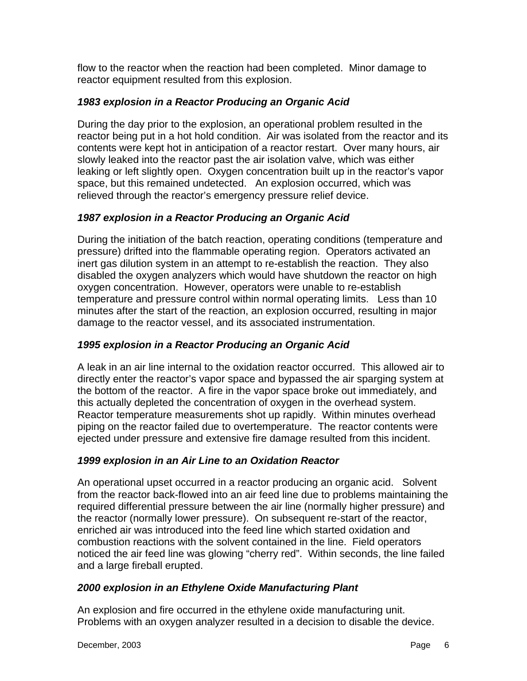flow to the reactor when the reaction had been completed. Minor damage to reactor equipment resulted from this explosion.

## *1983 explosion in a Reactor Producing an Organic Acid*

During the day prior to the explosion, an operational problem resulted in the reactor being put in a hot hold condition. Air was isolated from the reactor and its contents were kept hot in anticipation of a reactor restart. Over many hours, air slowly leaked into the reactor past the air isolation valve, which was either leaking or left slightly open. Oxygen concentration built up in the reactor's vapor space, but this remained undetected. An explosion occurred, which was relieved through the reactor's emergency pressure relief device.

### *1987 explosion in a Reactor Producing an Organic Acid*

During the initiation of the batch reaction, operating conditions (temperature and pressure) drifted into the flammable operating region. Operators activated an inert gas dilution system in an attempt to re-establish the reaction. They also disabled the oxygen analyzers which would have shutdown the reactor on high oxygen concentration. However, operators were unable to re-establish temperature and pressure control within normal operating limits. Less than 10 minutes after the start of the reaction, an explosion occurred, resulting in major damage to the reactor vessel, and its associated instrumentation.

#### *1995 explosion in a Reactor Producing an Organic Acid*

A leak in an air line internal to the oxidation reactor occurred. This allowed air to directly enter the reactor's vapor space and bypassed the air sparging system at the bottom of the reactor. A fire in the vapor space broke out immediately, and this actually depleted the concentration of oxygen in the overhead system. Reactor temperature measurements shot up rapidly. Within minutes overhead piping on the reactor failed due to overtemperature. The reactor contents were ejected under pressure and extensive fire damage resulted from this incident.

#### *1999 explosion in an Air Line to an Oxidation Reactor*

An operational upset occurred in a reactor producing an organic acid. Solvent from the reactor back-flowed into an air feed line due to problems maintaining the required differential pressure between the air line (normally higher pressure) and the reactor (normally lower pressure). On subsequent re-start of the reactor, enriched air was introduced into the feed line which started oxidation and combustion reactions with the solvent contained in the line. Field operators noticed the air feed line was glowing "cherry red". Within seconds, the line failed and a large fireball erupted.

#### *2000 explosion in an Ethylene Oxide Manufacturing Plant*

An explosion and fire occurred in the ethylene oxide manufacturing unit. Problems with an oxygen analyzer resulted in a decision to disable the device.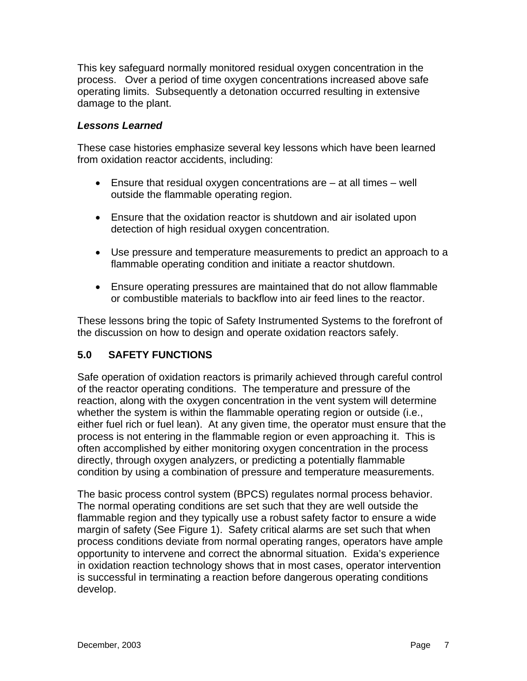This key safeguard normally monitored residual oxygen concentration in the process. Over a period of time oxygen concentrations increased above safe operating limits. Subsequently a detonation occurred resulting in extensive damage to the plant.

#### *Lessons Learned*

These case histories emphasize several key lessons which have been learned from oxidation reactor accidents, including:

- **Ensure that residual oxygen concentrations are**  $-$  **at all times**  $-$  **well** outside the flammable operating region.
- Ensure that the oxidation reactor is shutdown and air isolated upon detection of high residual oxygen concentration.
- Use pressure and temperature measurements to predict an approach to a flammable operating condition and initiate a reactor shutdown.
- Ensure operating pressures are maintained that do not allow flammable or combustible materials to backflow into air feed lines to the reactor.

These lessons bring the topic of Safety Instrumented Systems to the forefront of the discussion on how to design and operate oxidation reactors safely.

# **5.0 SAFETY FUNCTIONS**

Safe operation of oxidation reactors is primarily achieved through careful control of the reactor operating conditions. The temperature and pressure of the reaction, along with the oxygen concentration in the vent system will determine whether the system is within the flammable operating region or outside (i.e., either fuel rich or fuel lean). At any given time, the operator must ensure that the process is not entering in the flammable region or even approaching it. This is often accomplished by either monitoring oxygen concentration in the process directly, through oxygen analyzers, or predicting a potentially flammable condition by using a combination of pressure and temperature measurements.

The basic process control system (BPCS) regulates normal process behavior. The normal operating conditions are set such that they are well outside the flammable region and they typically use a robust safety factor to ensure a wide margin of safety (See Figure 1). Safety critical alarms are set such that when process conditions deviate from normal operating ranges, operators have ample opportunity to intervene and correct the abnormal situation. Exida's experience in oxidation reaction technology shows that in most cases, operator intervention is successful in terminating a reaction before dangerous operating conditions develop.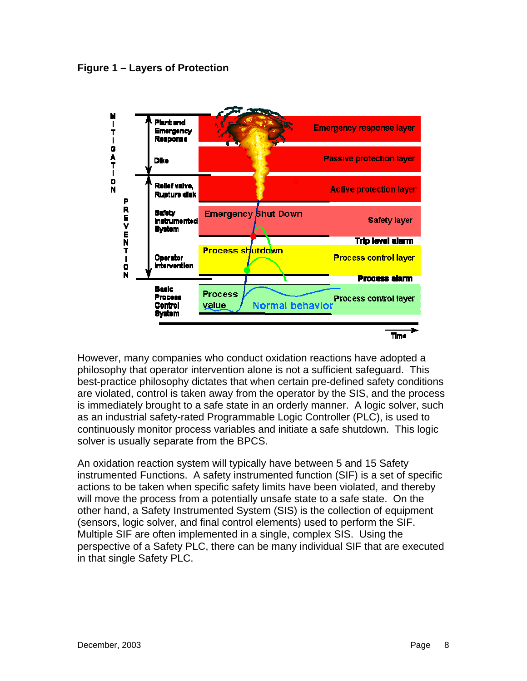

However, many companies who conduct oxidation reactions have adopted a philosophy that operator intervention alone is not a sufficient safeguard. This best-practice philosophy dictates that when certain pre-defined safety conditions are violated, control is taken away from the operator by the SIS, and the process is immediately brought to a safe state in an orderly manner. A logic solver, such as an industrial safety-rated Programmable Logic Controller (PLC), is used to continuously monitor process variables and initiate a safe shutdown. This logic solver is usually separate from the BPCS.

An oxidation reaction system will typically have between 5 and 15 Safety instrumented Functions. A safety instrumented function (SIF) is a set of specific actions to be taken when specific safety limits have been violated, and thereby will move the process from a potentially unsafe state to a safe state. On the other hand, a Safety Instrumented System (SIS) is the collection of equipment (sensors, logic solver, and final control elements) used to perform the SIF. Multiple SIF are often implemented in a single, complex SIS. Using the perspective of a Safety PLC, there can be many individual SIF that are executed in that single Safety PLC.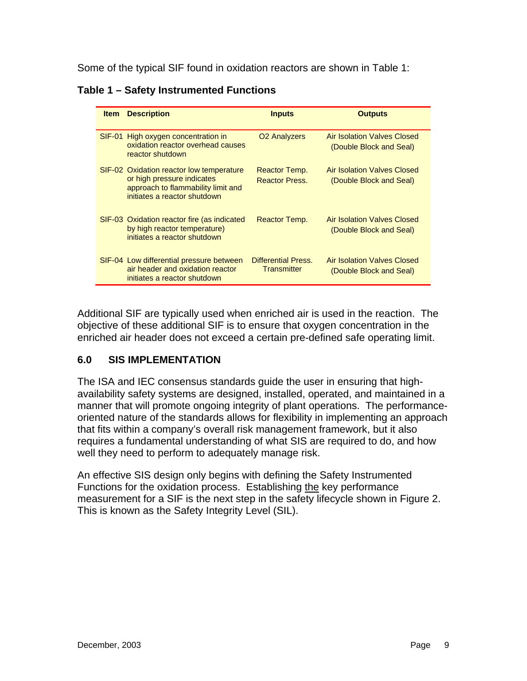Some of the typical SIF found in oxidation reactors are shown in Table 1:

**Table 1 – Safety Instrumented Functions** 

| <b>Item</b> | <b>Description</b>                                                                                                                           | <b>Inputs</b>                             | <b>Outputs</b>                                                |
|-------------|----------------------------------------------------------------------------------------------------------------------------------------------|-------------------------------------------|---------------------------------------------------------------|
|             | SIF-01 High oxygen concentration in<br>oxidation reactor overhead causes<br>reactor shutdown                                                 | O <sub>2</sub> Analyzers                  | <b>Air Isolation Valves Closed</b><br>(Double Block and Seal) |
|             | SIF-02 Oxidation reactor low temperature<br>or high pressure indicates<br>approach to flammability limit and<br>initiates a reactor shutdown | Reactor Temp.<br><b>Reactor Press.</b>    | Air Isolation Valves Closed<br>(Double Block and Seal)        |
|             | SIF-03 Oxidation reactor fire (as indicated<br>by high reactor temperature)<br>initiates a reactor shutdown                                  | Reactor Temp.                             | Air Isolation Valves Closed<br>(Double Block and Seal)        |
|             | SIF-04 Low differential pressure between<br>air header and oxidation reactor<br>initiates a reactor shutdown                                 | Differential Press.<br><b>Transmitter</b> | Air Isolation Valves Closed<br>(Double Block and Seal)        |

Additional SIF are typically used when enriched air is used in the reaction. The objective of these additional SIF is to ensure that oxygen concentration in the enriched air header does not exceed a certain pre-defined safe operating limit.

#### **6.0 SIS IMPLEMENTATION**

The ISA and IEC consensus standards guide the user in ensuring that highavailability safety systems are designed, installed, operated, and maintained in a manner that will promote ongoing integrity of plant operations. The performanceoriented nature of the standards allows for flexibility in implementing an approach that fits within a company's overall risk management framework, but it also requires a fundamental understanding of what SIS are required to do, and how well they need to perform to adequately manage risk.

An effective SIS design only begins with defining the Safety Instrumented Functions for the oxidation process. Establishing the key performance measurement for a SIF is the next step in the safety lifecycle shown in Figure 2. This is known as the Safety Integrity Level (SIL).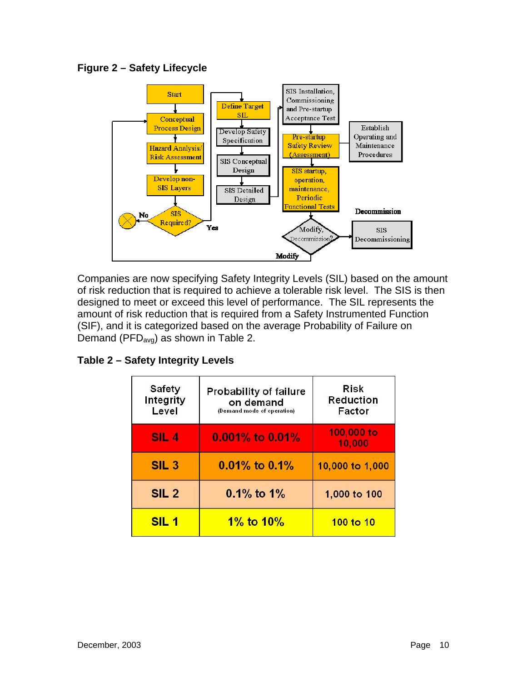**Figure 2 – Safety Lifecycle** 



Companies are now specifying Safety Integrity Levels (SIL) based on the amount of risk reduction that is required to achieve a tolerable risk level. The SIS is then designed to meet or exceed this level of performance. The SIL represents the amount of risk reduction that is required from a Safety Instrumented Function (SIF), and it is categorized based on the average Probability of Failure on Demand ( $PFD<sub>ava</sub>$ ) as shown in Table 2.

**Table 2 – Safety Integrity Levels** 

| Safety<br>Integrity<br>Level | <b>Probability of failure</b><br>on demand<br>(Demand mode of operation) | Risk<br><b>Reduction</b><br>Factor |
|------------------------------|--------------------------------------------------------------------------|------------------------------------|
| SIL <sub>4</sub>             | 0.001% to 0.01%                                                          | 100,000 to<br>10,000               |
| SIL <sub>3</sub>             | $0.01\%$ to $0.1\%$                                                      | 10,000 to 1,000                    |
| SIL <sub>2</sub>             | $0.1\%$ to $1\%$                                                         | 1,000 to 100                       |
| SIL <sub>1</sub>             | 1% to $10\%$                                                             | 100 to 10                          |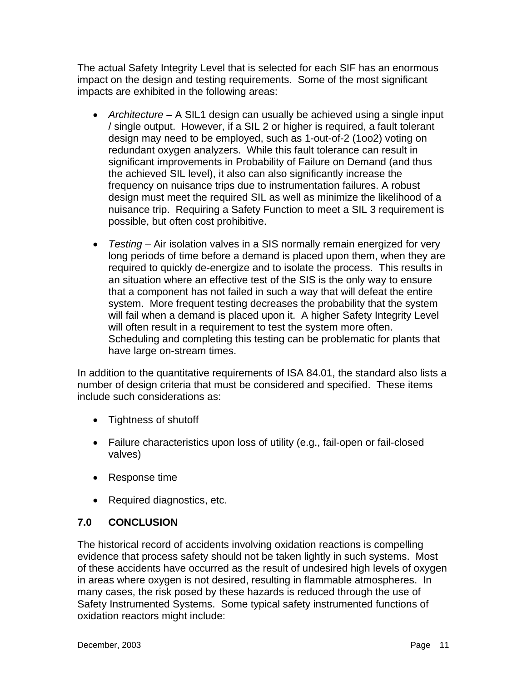The actual Safety Integrity Level that is selected for each SIF has an enormous impact on the design and testing requirements. Some of the most significant impacts are exhibited in the following areas:

- *Architecture*  A SIL1 design can usually be achieved using a single input / single output. However, if a SIL 2 or higher is required, a fault tolerant design may need to be employed, such as 1-out-of-2 (1oo2) voting on redundant oxygen analyzers. While this fault tolerance can result in significant improvements in Probability of Failure on Demand (and thus the achieved SIL level), it also can also significantly increase the frequency on nuisance trips due to instrumentation failures. A robust design must meet the required SIL as well as minimize the likelihood of a nuisance trip. Requiring a Safety Function to meet a SIL 3 requirement is possible, but often cost prohibitive.
- *Testing*  Air isolation valves in a SIS normally remain energized for very long periods of time before a demand is placed upon them, when they are required to quickly de-energize and to isolate the process. This results in an situation where an effective test of the SIS is the only way to ensure that a component has not failed in such a way that will defeat the entire system. More frequent testing decreases the probability that the system will fail when a demand is placed upon it. A higher Safety Integrity Level will often result in a requirement to test the system more often. Scheduling and completing this testing can be problematic for plants that have large on-stream times.

In addition to the quantitative requirements of ISA 84.01, the standard also lists a number of design criteria that must be considered and specified. These items include such considerations as:

- Tightness of shutoff
- Failure characteristics upon loss of utility (e.g., fail-open or fail-closed valves)
- Response time
- Required diagnostics, etc.

# **7.0 CONCLUSION**

The historical record of accidents involving oxidation reactions is compelling evidence that process safety should not be taken lightly in such systems. Most of these accidents have occurred as the result of undesired high levels of oxygen in areas where oxygen is not desired, resulting in flammable atmospheres. In many cases, the risk posed by these hazards is reduced through the use of Safety Instrumented Systems. Some typical safety instrumented functions of oxidation reactors might include: